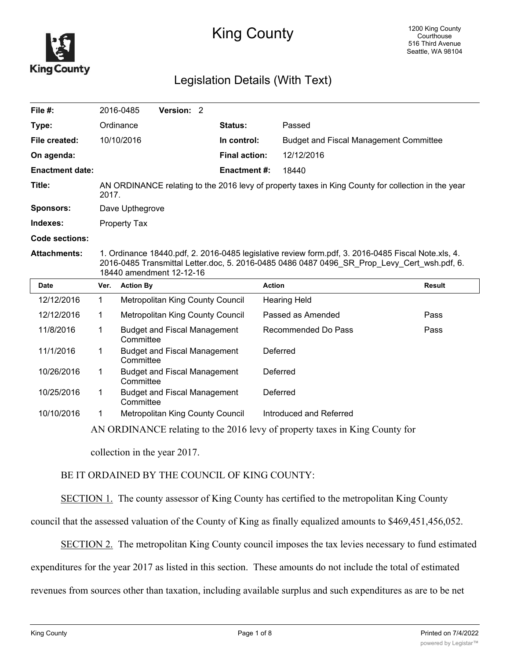

# King County

# Legislation Details (With Text)

| File #:                |                                                                                                             | 2016-0485           | Version: 2               |                                     |                      |                                                                                                                                                                                                   |               |
|------------------------|-------------------------------------------------------------------------------------------------------------|---------------------|--------------------------|-------------------------------------|----------------------|---------------------------------------------------------------------------------------------------------------------------------------------------------------------------------------------------|---------------|
| Type:                  |                                                                                                             | Ordinance           |                          | Status:                             |                      | Passed                                                                                                                                                                                            |               |
| File created:          |                                                                                                             | 10/10/2016          |                          | In control:                         |                      | <b>Budget and Fiscal Management Committee</b>                                                                                                                                                     |               |
| On agenda:             |                                                                                                             |                     |                          |                                     | <b>Final action:</b> | 12/12/2016                                                                                                                                                                                        |               |
| <b>Enactment date:</b> |                                                                                                             |                     |                          |                                     | <b>Enactment #:</b>  | 18440                                                                                                                                                                                             |               |
| Title:                 | AN ORDINANCE relating to the 2016 levy of property taxes in King County for collection in the year<br>2017. |                     |                          |                                     |                      |                                                                                                                                                                                                   |               |
| <b>Sponsors:</b>       |                                                                                                             | Dave Upthegrove     |                          |                                     |                      |                                                                                                                                                                                                   |               |
| Indexes:               |                                                                                                             | <b>Property Tax</b> |                          |                                     |                      |                                                                                                                                                                                                   |               |
| Code sections:         |                                                                                                             |                     |                          |                                     |                      |                                                                                                                                                                                                   |               |
| <b>Attachments:</b>    |                                                                                                             |                     | 18440 amendment 12-12-16 |                                     |                      | 1. Ordinance 18440.pdf, 2. 2016-0485 legislative review form.pdf, 3. 2016-0485 Fiscal Note.xls, 4.<br>2016-0485 Transmittal Letter.doc, 5. 2016-0485 0486 0487 0496 SR Prop Levy Cert wsh.pdf, 6. |               |
|                        |                                                                                                             |                     |                          |                                     |                      |                                                                                                                                                                                                   |               |
| <b>Date</b>            | Ver.                                                                                                        | <b>Action By</b>    |                          |                                     | <b>Action</b>        |                                                                                                                                                                                                   | <b>Result</b> |
| 12/12/2016             | $\mathbf{1}$                                                                                                |                     |                          | Metropolitan King County Council    |                      | <b>Hearing Held</b>                                                                                                                                                                               |               |
| 12/12/2016             | 1                                                                                                           |                     |                          | Metropolitan King County Council    |                      | Passed as Amended                                                                                                                                                                                 | Pass          |
| 11/8/2016              | $\mathbf{1}$                                                                                                | Committee           |                          | <b>Budget and Fiscal Management</b> |                      | Recommended Do Pass                                                                                                                                                                               | Pass          |
| 11/1/2016              | 1                                                                                                           | Committee           |                          | <b>Budget and Fiscal Management</b> |                      | Deferred                                                                                                                                                                                          |               |
| 10/26/2016             | 1.                                                                                                          | Committee           |                          | <b>Budget and Fiscal Management</b> |                      | Deferred                                                                                                                                                                                          |               |
| 10/25/2016             | 1                                                                                                           | Committee           |                          | <b>Budget and Fiscal Management</b> |                      | Deferred                                                                                                                                                                                          |               |
| 10/10/2016             | 1                                                                                                           |                     |                          | Metropolitan King County Council    |                      | Introduced and Referred                                                                                                                                                                           |               |

collection in the year 2017.

### BE IT ORDAINED BY THE COUNCIL OF KING COUNTY:

SECTION 1. The county assessor of King County has certified to the metropolitan King County

council that the assessed valuation of the County of King as finally equalized amounts to \$469,451,456,052.

SECTION 2. The metropolitan King County council imposes the tax levies necessary to fund estimated

expenditures for the year 2017 as listed in this section. These amounts do not include the total of estimated

revenues from sources other than taxation, including available surplus and such expenditures as are to be net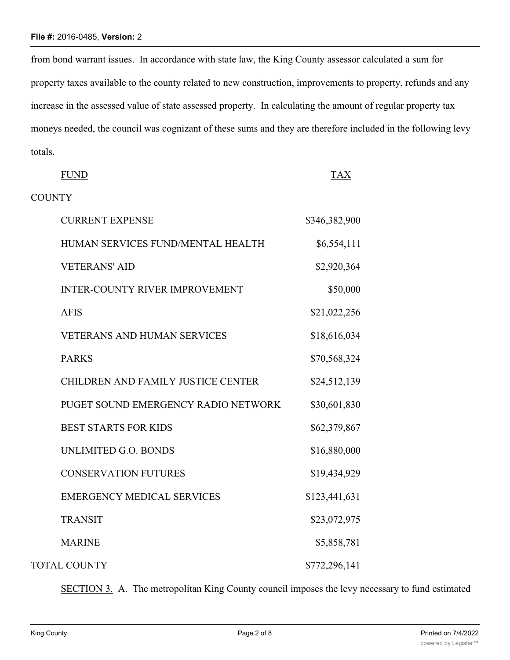#### **File #:** 2016-0485, **Version:** 2

from bond warrant issues. In accordance with state law, the King County assessor calculated a sum for property taxes available to the county related to new construction, improvements to property, refunds and any increase in the assessed value of state assessed property. In calculating the amount of regular property tax moneys needed, the council was cognizant of these sums and they are therefore included in the following levy totals.

| <b>FUND</b>                           | <b>TAX</b>    |
|---------------------------------------|---------------|
| <b>COUNTY</b>                         |               |
| <b>CURRENT EXPENSE</b>                | \$346,382,900 |
| HUMAN SERVICES FUND/MENTAL HEALTH     | \$6,554,111   |
| <b>VETERANS' AID</b>                  | \$2,920,364   |
| <b>INTER-COUNTY RIVER IMPROVEMENT</b> | \$50,000      |
| <b>AFIS</b>                           | \$21,022,256  |
| <b>VETERANS AND HUMAN SERVICES</b>    | \$18,616,034  |
| <b>PARKS</b>                          | \$70,568,324  |
| CHILDREN AND FAMILY JUSTICE CENTER    | \$24,512,139  |
| PUGET SOUND EMERGENCY RADIO NETWORK   | \$30,601,830  |
| <b>BEST STARTS FOR KIDS</b>           | \$62,379,867  |
| UNLIMITED G.O. BONDS                  | \$16,880,000  |
| <b>CONSERVATION FUTURES</b>           | \$19,434,929  |
| <b>EMERGENCY MEDICAL SERVICES</b>     | \$123,441,631 |
| <b>TRANSIT</b>                        | \$23,072,975  |
| <b>MARINE</b>                         | \$5,858,781   |
| <b>TOTAL COUNTY</b>                   | \$772,296,141 |

SECTION 3. A. The metropolitan King County council imposes the levy necessary to fund estimated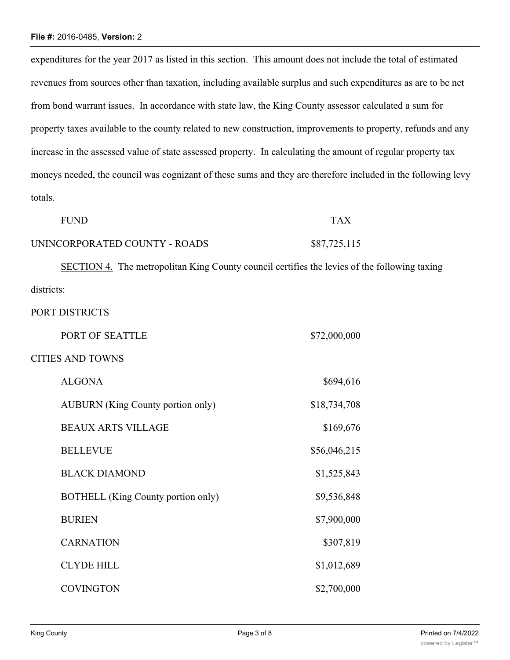#### **File #:** 2016-0485, **Version:** 2

expenditures for the year 2017 as listed in this section. This amount does not include the total of estimated revenues from sources other than taxation, including available surplus and such expenditures as are to be net from bond warrant issues. In accordance with state law, the King County assessor calculated a sum for property taxes available to the county related to new construction, improvements to property, refunds and any increase in the assessed value of state assessed property. In calculating the amount of regular property tax moneys needed, the council was cognizant of these sums and they are therefore included in the following levy totals.

| <b>FUND</b>                   | <b>TAX</b>   |
|-------------------------------|--------------|
| UNINCORPORATED COUNTY - ROADS | \$87,725,115 |

SECTION 4. The metropolitan King County council certifies the levies of the following taxing districts:

PORT DISTRICTS

| PORT OF SEATTLE                          | \$72,000,000 |
|------------------------------------------|--------------|
| <b>CITIES AND TOWNS</b>                  |              |
| <b>ALGONA</b>                            | \$694,616    |
| <b>AUBURN</b> (King County portion only) | \$18,734,708 |
| <b>BEAUX ARTS VILLAGE</b>                | \$169,676    |
| <b>BELLEVUE</b>                          | \$56,046,215 |
| <b>BLACK DIAMOND</b>                     | \$1,525,843  |
| BOTHELL (King County portion only)       | \$9,536,848  |
| <b>BURIEN</b>                            | \$7,900,000  |
| <b>CARNATION</b>                         | \$307,819    |
| <b>CLYDE HILL</b>                        | \$1,012,689  |
| <b>COVINGTON</b>                         | \$2,700,000  |
|                                          |              |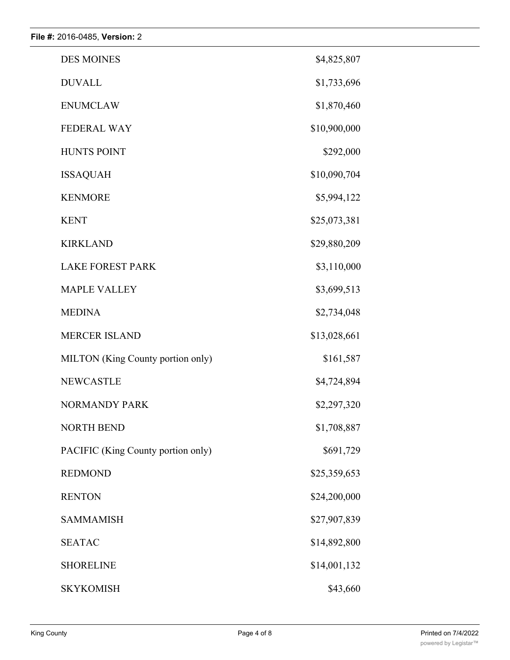| <b>DES MOINES</b>                  | \$4,825,807  |
|------------------------------------|--------------|
| <b>DUVALL</b>                      | \$1,733,696  |
| <b>ENUMCLAW</b>                    | \$1,870,460  |
| <b>FEDERAL WAY</b>                 | \$10,900,000 |
| <b>HUNTS POINT</b>                 | \$292,000    |
| <b>ISSAQUAH</b>                    | \$10,090,704 |
| <b>KENMORE</b>                     | \$5,994,122  |
| <b>KENT</b>                        | \$25,073,381 |
| <b>KIRKLAND</b>                    | \$29,880,209 |
| <b>LAKE FOREST PARK</b>            | \$3,110,000  |
| <b>MAPLE VALLEY</b>                | \$3,699,513  |
| <b>MEDINA</b>                      | \$2,734,048  |
| <b>MERCER ISLAND</b>               | \$13,028,661 |
| MILTON (King County portion only)  | \$161,587    |
| <b>NEWCASTLE</b>                   | \$4,724,894  |
| <b>NORMANDY PARK</b>               | \$2,297,320  |
| <b>NORTH BEND</b>                  | \$1,708,887  |
| PACIFIC (King County portion only) | \$691,729    |
| <b>REDMOND</b>                     | \$25,359,653 |
| <b>RENTON</b>                      | \$24,200,000 |
| <b>SAMMAMISH</b>                   | \$27,907,839 |
| <b>SEATAC</b>                      | \$14,892,800 |
| <b>SHORELINE</b>                   | \$14,001,132 |
| <b>SKYKOMISH</b>                   | \$43,660     |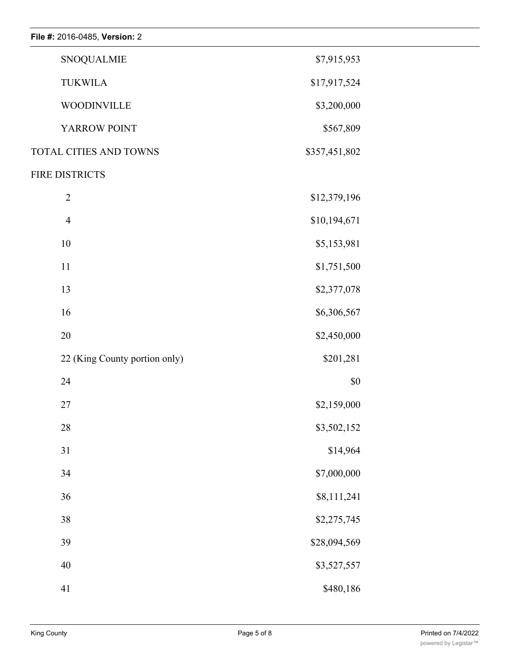| File #: 2016-0485, Version: 2 |               |  |
|-------------------------------|---------------|--|
| <b>SNOQUALMIE</b>             | \$7,915,953   |  |
| <b>TUKWILA</b>                | \$17,917,524  |  |
| <b>WOODINVILLE</b>            | \$3,200,000   |  |
| YARROW POINT                  | \$567,809     |  |
| TOTAL CITIES AND TOWNS        | \$357,451,802 |  |
| FIRE DISTRICTS                |               |  |
| $\sqrt{2}$                    | \$12,379,196  |  |
| $\overline{4}$                | \$10,194,671  |  |
| $10\,$                        | \$5,153,981   |  |
| 11                            | \$1,751,500   |  |
| 13                            | \$2,377,078   |  |
| 16                            | \$6,306,567   |  |
| 20                            | \$2,450,000   |  |
| 22 (King County portion only) | \$201,281     |  |
| 24                            | $\$0$         |  |
| 27                            | \$2,159,000   |  |
| $28\,$                        | \$3,502,152   |  |
| 31                            | \$14,964      |  |
| 34                            | \$7,000,000   |  |
| 36                            | \$8,111,241   |  |
| $38\,$                        | \$2,275,745   |  |
| 39                            | \$28,094,569  |  |
| 40                            | \$3,527,557   |  |
| 41                            | \$480,186     |  |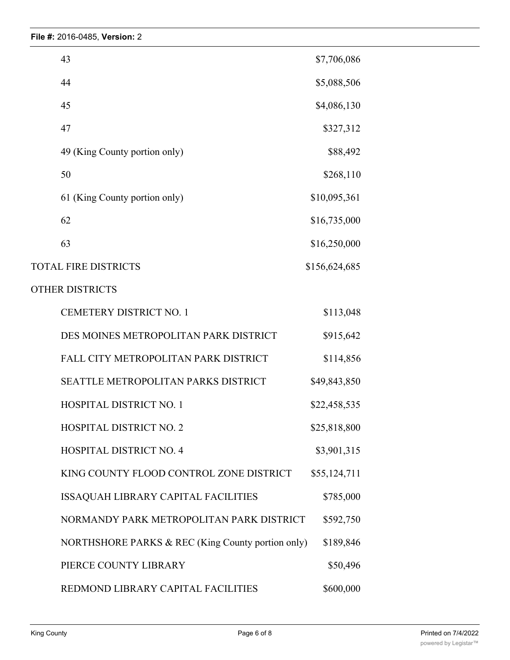| 43                                                | \$7,706,086   |  |
|---------------------------------------------------|---------------|--|
| 44                                                | \$5,088,506   |  |
| 45                                                | \$4,086,130   |  |
| 47                                                | \$327,312     |  |
| 49 (King County portion only)                     | \$88,492      |  |
| 50                                                | \$268,110     |  |
| 61 (King County portion only)                     | \$10,095,361  |  |
| 62                                                | \$16,735,000  |  |
| 63                                                | \$16,250,000  |  |
| <b>TOTAL FIRE DISTRICTS</b>                       | \$156,624,685 |  |
| <b>OTHER DISTRICTS</b>                            |               |  |
| <b>CEMETERY DISTRICT NO. 1</b>                    | \$113,048     |  |
| DES MOINES METROPOLITAN PARK DISTRICT             | \$915,642     |  |
| FALL CITY METROPOLITAN PARK DISTRICT              | \$114,856     |  |
| SEATTLE METROPOLITAN PARKS DISTRICT               | \$49,843,850  |  |
| <b>HOSPITAL DISTRICT NO. 1</b>                    | \$22,458,535  |  |
| <b>HOSPITAL DISTRICT NO. 2</b>                    | \$25,818,800  |  |
| <b>HOSPITAL DISTRICT NO. 4</b>                    | \$3,901,315   |  |
| KING COUNTY FLOOD CONTROL ZONE DISTRICT           | \$55,124,711  |  |
| ISSAQUAH LIBRARY CAPITAL FACILITIES               | \$785,000     |  |
| NORMANDY PARK METROPOLITAN PARK DISTRICT          | \$592,750     |  |
| NORTHSHORE PARKS & REC (King County portion only) | \$189,846     |  |
| PIERCE COUNTY LIBRARY                             | \$50,496      |  |
| REDMOND LIBRARY CAPITAL FACILITIES                | \$600,000     |  |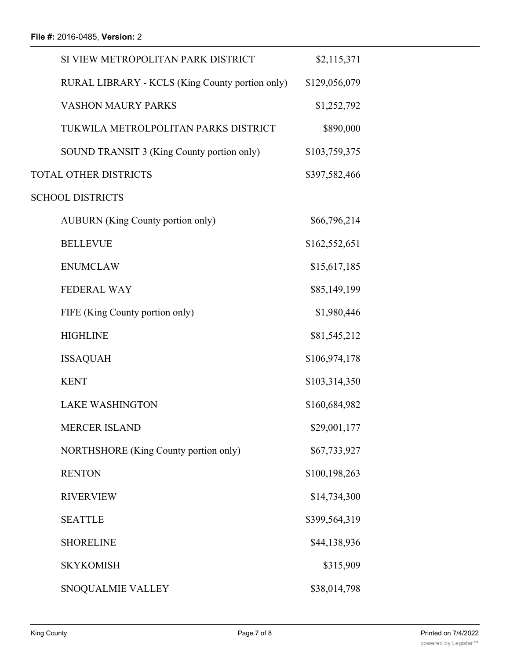| SI VIEW METROPOLITAN PARK DISTRICT              | \$2,115,371   |  |
|-------------------------------------------------|---------------|--|
| RURAL LIBRARY - KCLS (King County portion only) | \$129,056,079 |  |
| <b>VASHON MAURY PARKS</b>                       | \$1,252,792   |  |
| TUKWILA METROLPOLITAN PARKS DISTRICT            | \$890,000     |  |
| SOUND TRANSIT 3 (King County portion only)      | \$103,759,375 |  |
| <b>TOTAL OTHER DISTRICTS</b>                    | \$397,582,466 |  |
| <b>SCHOOL DISTRICTS</b>                         |               |  |
| <b>AUBURN</b> (King County portion only)        | \$66,796,214  |  |
| <b>BELLEVUE</b>                                 | \$162,552,651 |  |
| <b>ENUMCLAW</b>                                 | \$15,617,185  |  |
| <b>FEDERAL WAY</b>                              | \$85,149,199  |  |
| FIFE (King County portion only)                 | \$1,980,446   |  |
| <b>HIGHLINE</b>                                 | \$81,545,212  |  |
| <b>ISSAQUAH</b>                                 | \$106,974,178 |  |
| <b>KENT</b>                                     | \$103,314,350 |  |
| <b>LAKE WASHINGTON</b>                          | \$160,684,982 |  |
| <b>MERCER ISLAND</b>                            | \$29,001,177  |  |
| NORTHSHORE (King County portion only)           | \$67,733,927  |  |
| <b>RENTON</b>                                   | \$100,198,263 |  |
| <b>RIVERVIEW</b>                                | \$14,734,300  |  |
| <b>SEATTLE</b>                                  | \$399,564,319 |  |
| <b>SHORELINE</b>                                | \$44,138,936  |  |
| <b>SKYKOMISH</b>                                | \$315,909     |  |
| SNOQUALMIE VALLEY                               | \$38,014,798  |  |